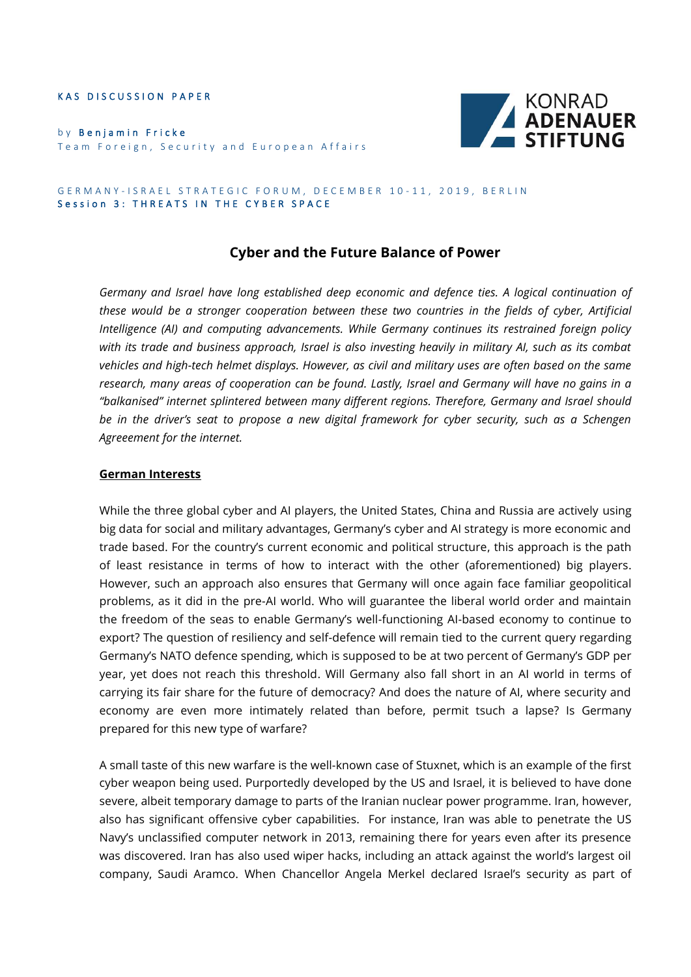KAS DISCUSSION PAPER

by Benjamin Fricke Team Foreign, Security and European Affairs



#### GERMANY-ISRAEL STRATEGIC FORUM, DECEMBER 10-11, 2019, BERLIN Session 3: THREATS IN THE CYBER SPACE

# **Cyber and the Future Balance of Power**

*Germany and Israel have long established deep economic and defence ties. A logical continuation of these would be a stronger cooperation between these two countries in the fields of cyber, Artificial Intelligence (AI) and computing advancements. While Germany continues its restrained foreign policy with its trade and business approach, Israel is also investing heavily in military AI, such as its combat vehicles and high-tech helmet displays. However, as civil and military uses are often based on the same research, many areas of cooperation can be found. Lastly, Israel and Germany will have no gains in a "balkanised" internet splintered between many different regions. Therefore, Germany and Israel should be in the driver's seat to propose a new digital framework for cyber security, such as a Schengen Agreeement for the internet.* 

### **German Interests**

While the three global cyber and AI players, the United States, China and Russia are actively using big data for social and military advantages, Germany's cyber and AI strategy is more economic and trade based. For the country's current economic and political structure, this approach is the path of least resistance in terms of how to interact with the other (aforementioned) big players. However, such an approach also ensures that Germany will once again face familiar geopolitical problems, as it did in the pre-AI world. Who will guarantee the liberal world order and maintain the freedom of the seas to enable Germany's well-functioning AI-based economy to continue to export? The question of resiliency and self-defence will remain tied to the current query regarding Germany's NATO defence spending, which is supposed to be at two percent of Germany's GDP per year, yet does not reach this threshold. Will Germany also fall short in an AI world in terms of carrying its fair share for the future of democracy? And does the nature of AI, where security and economy are even more intimately related than before, permit tsuch a lapse? Is Germany prepared for this new type of warfare?

A small taste of this new warfare is the well-known case of Stuxnet, which is an example of the first cyber weapon being used. Purportedly developed by the US and Israel, it is believed to have done severe, albeit temporary damage to parts of the Iranian nuclear power programme. Iran, however, also has significant offensive cyber capabilities. For instance, Iran was able to penetrate the US Navy's unclassified computer network in 2013, remaining there for years even after its presence was discovered. Iran has also used wiper hacks, including an attack against the world's largest oil company, Saudi Aramco. When Chancellor Angela Merkel declared Israel's security as part of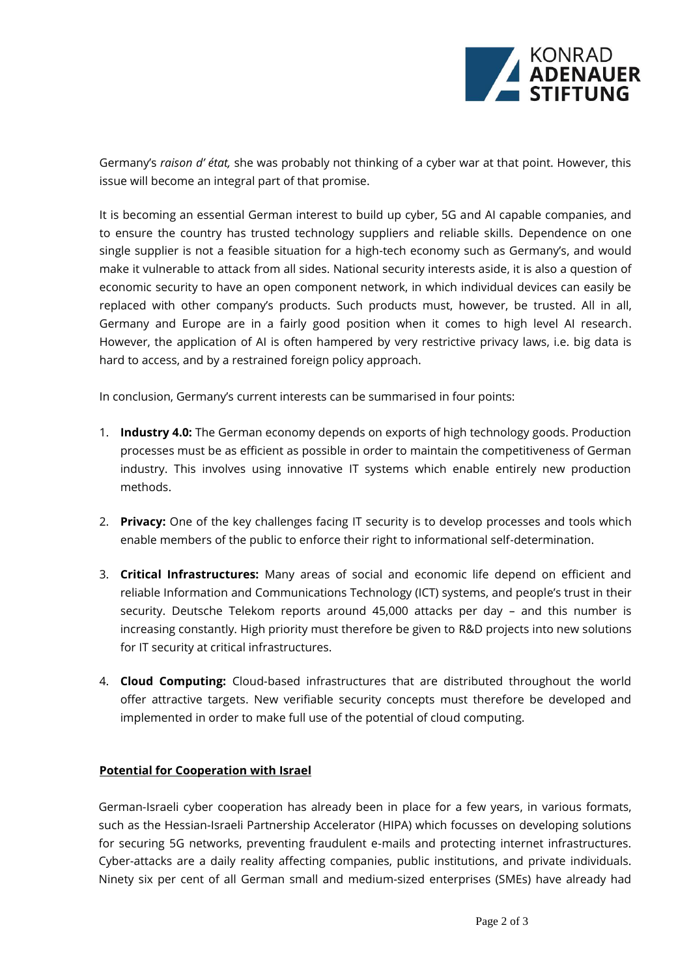

Germany's *raison d' état,* she was probably not thinking of a cyber war at that point. However, this issue will become an integral part of that promise.

It is becoming an essential German interest to build up cyber, 5G and AI capable companies, and to ensure the country has trusted technology suppliers and reliable skills. Dependence on one single supplier is not a feasible situation for a high-tech economy such as Germany's, and would make it vulnerable to attack from all sides. National security interests aside, it is also a question of economic security to have an open component network, in which individual devices can easily be replaced with other company's products. Such products must, however, be trusted. All in all, Germany and Europe are in a fairly good position when it comes to high level AI research. However, the application of AI is often hampered by very restrictive privacy laws, i.e. big data is hard to access, and by a restrained foreign policy approach.

In conclusion, Germany's current interests can be summarised in four points:

- 1. **Industry 4.0:** The German economy depends on exports of high technology goods. Production processes must be as efficient as possible in order to maintain the competitiveness of German industry. This involves using innovative IT systems which enable entirely new production methods.
- 2. **Privacy:** One of the key challenges facing IT security is to develop processes and tools which enable members of the public to enforce their right to informational self-determination.
- 3. **Critical Infrastructures:** Many areas of social and economic life depend on efficient and reliable Information and Communications Technology (ICT) systems, and people's trust in their security. Deutsche Telekom reports around 45,000 attacks per day – and this number is increasing constantly. High priority must therefore be given to R&D projects into new solutions for IT security at critical infrastructures.
- 4. **Cloud Computing:** Cloud-based infrastructures that are distributed throughout the world offer attractive targets. New verifiable security concepts must therefore be developed and implemented in order to make full use of the potential of cloud computing.

# **Potential for Cooperation with Israel**

German-Israeli cyber cooperation has already been in place for a few years, in various formats, such as the Hessian-Israeli Partnership Accelerator (HIPA) which focusses on developing solutions for securing 5G networks, preventing fraudulent e-mails and protecting internet infrastructures. Cyber-attacks are a daily reality affecting companies, public institutions, and private individuals. Ninety six per cent of all German small and medium-sized enterprises (SMEs) have already had